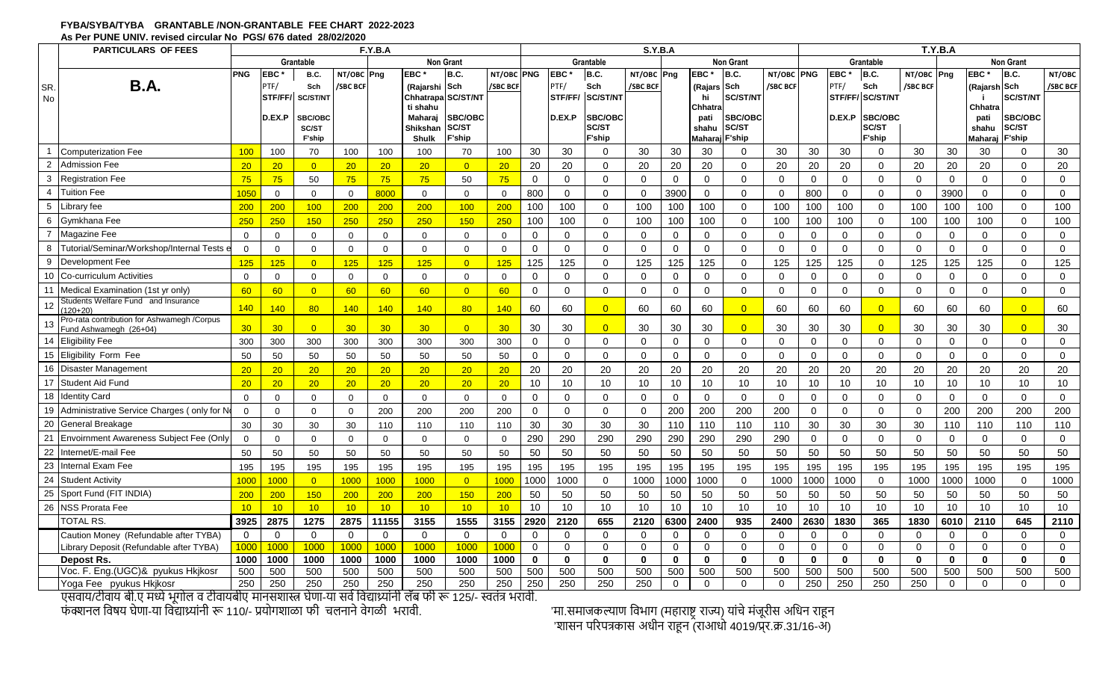### **FYBA/SYBA/TYBA GRANTABLE /NON-GRANTABLE FEE CHART 2022-2023 As Per PUNE UNIV. revised circular No PGS/ 676 dated 28/02/2020**

|                | <b>PARTICULARS OF FEES</b>                                             |                  |                 |                 |                | F.Y.B.A         |                            |                    |                 | S.Y.B.A      |                 |                 |              |              |                 |                  |              |                | T.Y.B.A        |                 |              |                  |                 |                 |                |  |
|----------------|------------------------------------------------------------------------|------------------|-----------------|-----------------|----------------|-----------------|----------------------------|--------------------|-----------------|--------------|-----------------|-----------------|--------------|--------------|-----------------|------------------|--------------|----------------|----------------|-----------------|--------------|------------------|-----------------|-----------------|----------------|--|
|                |                                                                        |                  |                 | Grantable       |                |                 |                            | <b>Non Grant</b>   |                 |              |                 | Grantable       |              |              |                 | <b>Non Grant</b> |              |                |                | Grantable       |              | <b>Non Grant</b> |                 |                 |                |  |
|                |                                                                        | <b>PNG</b>       | <b>EBC</b>      | <b>B.C.</b>     | NT/OBC Png     |                 | <b>EBC</b>                 | B.C.               | NT/OBC PNG      |              | <b>EBC</b>      | B.C.            | NT/OBC Png   |              | <b>EBC</b>      | B.C.             | NT/OBC       | <b>PNG</b>     | <b>EBC</b>     | B.C.            | NT/OBC Png   |                  | <b>EBC</b>      | B.C.            | NT/OBC         |  |
| SR.            | <b>B.A.</b>                                                            |                  | PTF/            | Sch             | /SBC BCF       |                 | (Rajarshi                  | Sch                | /SBC BCI        |              | PTF/            | Sch             | /SBC BCF     |              | (Rajars         | Sch              | /SBC BCF     |                | PTF/           | Sch             | /SBC BCF     |                  | (Rajarsh Sch    |                 | <b>SBC BCF</b> |  |
| No             |                                                                        |                  | STF/FF/         | SC/ST/NT        |                |                 |                            | Chhatrapa SC/ST/NT |                 |              | STF/FF/         | <b>SC/ST/NT</b> |              |              | hi              | <b>SC/ST/NT</b>  |              |                |                | STF/FF/SC/ST/NT |              |                  |                 | <b>SC/ST/NT</b> |                |  |
|                |                                                                        |                  | D.EX.P          | SBC/OBC         |                |                 | ti shahu<br><b>Maharai</b> | <b>SBC/OBC</b>     |                 |              | D.EX.P          | <b>SBC/OBC</b>  |              |              | Chhatra<br>pati | SBC/OBC          |              |                | D.EX.P         | SBC/OBC         |              |                  | Chhatra<br>pati | <b>SBC/OBC</b>  |                |  |
|                |                                                                        |                  |                 | SC/ST           |                |                 | Shikshan                   | SC/ST              |                 |              |                 | SC/ST           |              |              | shahu           | SC/ST            |              |                |                | <b>SC/ST</b>    |              |                  | shahu           | SC/ST           |                |  |
|                |                                                                        |                  |                 | <b>F'ship</b>   |                |                 | <b>Shulk</b>               | F'ship             |                 |              |                 | F'ship          |              |              | <b>Mahara</b>   | <b>F'ship</b>    |              |                |                | F'ship          |              |                  | Maharai         | F'ship          |                |  |
|                | <b>Computerization Fee</b>                                             | 100 <sub>1</sub> | 100             | 70              | 100            | 100             | 100                        | 70                 | 100             | 30           | 30              | $\Omega$        | 30           | 30           | 30              | $\Omega$         | 30           | 30             | 30             | 0               | 30           | 30               | 30              | 0               | 30             |  |
| $\overline{2}$ | <b>Admission Fee</b>                                                   | 20               | 20 <sub>2</sub> | $\overline{0}$  | 20             | 20 <sub>2</sub> | 20                         | $\overline{0}$     | 20              | 20           | 20              | $\Omega$        | 20           | 20           | 20              | $\Omega$         | 20           | 20             | 20             | $\Omega$        | 20           | 20               | 20              | $\mathbf 0$     | 20             |  |
| 3              | <b>Registration Fee</b>                                                | 75               | 75              | 50              | 75             | 75              | 75                         | 50                 | 75              | $\mathbf 0$  | $\mathbf 0$     | $\Omega$        | $\Omega$     | $\mathbf 0$  | $\Omega$        | $\Omega$         | $\Omega$     | $\mathbf 0$    | $\mathbf 0$    | $\Omega$        | $\mathbf 0$  | $\mathbf 0$      | $\mathbf 0$     | $\mathbf 0$     | $\mathbf 0$    |  |
| $\overline{4}$ | <b>Tuition Fee</b>                                                     | 1050             | $\Omega$        | $\mathbf 0$     | $\overline{0}$ | 8000            | $\mathbf 0$                | $\mathbf{0}$       | $\mathbf 0$     | 800          | $\mathbf 0$     | $\Omega$        | $\Omega$     | 3900         | $\mathbf 0$     | $\Omega$         | $\mathbf 0$  | 800            | $\mathbf 0$    | $\mathbf 0$     | $\mathbf 0$  | 3900             | $\mathbf 0$     | $\mathbf 0$     | $\mathbf 0$    |  |
| 5              | Library fee                                                            | 200              | 200             | 100             | 200            | 200             | 200                        | 100                | 200             | 100          | 100             | $\Omega$        | 100          | 100          | 100             | $\Omega$         | 100          | 100            | 100            | $\mathbf 0$     | 100          | 100              | 100             | $\Omega$        | 100            |  |
| 6              | Gymkhana Fee                                                           | 250              | 250             | 150             | 250            | 250             | 250                        | 150                | 250             | 100          | 100             | $\Omega$        | 100          | 100          | 100             | $\Omega$         | 100          | 100            | 100            | $\mathbf 0$     | 100          | 100              | 100             | $\Omega$        | 100            |  |
| $\overline{7}$ | Magazine Fee                                                           | $\mathbf 0$      | $\mathbf 0$     | $\Omega$        | $\mathbf{0}$   | $\mathbf 0$     | $\mathbf 0$                | $\mathbf 0$        | $\mathbf 0$     | $\mathbf 0$  | $\mathbf 0$     | $\Omega$        | $\Omega$     | $\mathbf 0$  | $\Omega$        | $\Omega$         | $\mathbf 0$  | $\mathbf 0$    | $\mathbf 0$    | $\Omega$        | $\mathbf 0$  | $\mathbf 0$      | $\mathbf 0$     | $\mathbf 0$     | $\mathbf 0$    |  |
| 8              | Tutorial/Seminar/Workshop/Internal Tests e                             | $\mathbf 0$      | $\mathbf 0$     | $\Omega$        | $\mathbf{0}$   | $\mathbf 0$     | $\Omega$                   | $\Omega$           | $\mathbf 0$     | $\Omega$     | $\Omega$        | $\Omega$        | $\Omega$     | $\Omega$     | $\Omega$        | $\Omega$         | $\mathbf 0$  | $\mathbf 0$    | $\mathbf 0$    | $\mathbf 0$     | $\mathbf 0$  | $\mathbf 0$      | $\mathbf 0$     | $\mathbf 0$     | $\mathbf 0$    |  |
| 9              | Development Fee                                                        | 125              | 125             | $\overline{0}$  | 125            | 125             | 125                        | $\overline{0}$     | 125             | 125          | 125             | $\Omega$        | 125          | 125          | 125             | $\Omega$         | 125          | 125            | 125            | $\mathbf 0$     | 125          | 125              | 125             | $\mathbf 0$     | 125            |  |
| 10             | Co-curriculum Activities                                               | $\mathbf 0$      | $\Omega$        | $\Omega$        | $\mathbf{0}$   | $\mathbf{0}$    | $\mathbf{0}$               | $\Omega$           | $\mathbf 0$     | $\Omega$     | $\Omega$        | $\Omega$        | $\Omega$     | $\mathbf 0$  | $\Omega$        | $\Omega$         | $\Omega$     | $\mathbf 0$    | $\Omega$       | $\Omega$        | $\mathbf 0$  | $\mathbf{0}$     | $\Omega$        | $\Omega$        | $\mathbf 0$    |  |
| 11             | Medical Examination (1st yr only)                                      | 60               | 60              | $\overline{0}$  | 60             | 60              | 60                         | $\overline{0}$     | 60              | $\Omega$     | $\Omega$        | $\Omega$        | $\Omega$     | $\Omega$     | $\Omega$        | $\Omega$         | $\mathbf{0}$ | $\mathbf 0$    | $\mathbf 0$    | $\mathbf 0$     | $\mathbf 0$  | $\mathbf 0$      | $\mathbf 0$     | $\Omega$        | $\mathbf 0$    |  |
| 12             | Students Welfare Fund and Insurance<br>(120+20)                        | 140              | 140             | 80              | 140            | 140             | 140                        | 80                 | 140             | 60           | 60              | $\Omega$        | 60           | 60           | 60              | $\overline{0}$   | 60           | 60             | 60             | $\overline{0}$  | 60           | 60               | 60              | $\overline{0}$  | 60             |  |
| 13             | Pro-rata contribution for Ashwamegh / Corpus<br>Fund Ashwamegh (26+04) | 30 <sub>o</sub>  | 30              | $\overline{0}$  | 30             | 30 <sub>o</sub> | 30 <sub>o</sub>            | $\overline{0}$     | 30 <sub>o</sub> | 30           | 30              | $\overline{0}$  | 30           | 30           | 30              | $\overline{0}$   | 30           | 30             | 30             | $\overline{0}$  | 30           | 30               | 30              | $\overline{0}$  | 30             |  |
| 14             | <b>Eligibility Fee</b>                                                 | 300              | 300             | 300             | 300            | 300             | 300                        | 300                | 300             | $\Omega$     | $\mathbf 0$     | $\Omega$        | $\Omega$     | $\Omega$     | $\Omega$        | $\Omega$         | $\mathbf 0$  | $\overline{0}$ | $\mathbf 0$    | $\Omega$        | $\mathbf 0$  | $\mathbf 0$      | $\mathbf 0$     | $\Omega$        | $\mathbf 0$    |  |
|                | 15 Eligibility Form Fee                                                | 50               | 50              | 50              | 50             | 50              | 50                         | 50                 | 50              | $\mathbf 0$  | $\mathbf 0$     | $\Omega$        | $\Omega$     | $\mathbf 0$  | $\Omega$        | $\mathbf 0$      | $\mathbf 0$  | $\overline{0}$ | $\overline{0}$ | $\mathbf 0$     | $\mathbf 0$  | $\mathbf 0$      | $\mathbf 0$     | $\mathbf 0$     | $\mathbf 0$    |  |
| 16             | Disaster Management                                                    | 20               | 20              | 20              | 20             | 20              | 20                         | 20                 | 20              | 20           | 20              | 20              | 20           | 20           | 20              | 20               | 20           | 20             | 20             | 20              | 20           | 20               | 20              | 20              | 20             |  |
| 17             | Student Aid Fund                                                       | 20               | 20 <sup>°</sup> | 20 <sup>°</sup> | 20             | 20              | 20                         | 20                 | 20              | 10           | 10              | 10              | 10           | 10           | 10              | 10               | 10           | 10             | 10             | 10              | $10$         | 10               | 10              | 10              | 10             |  |
| 18             | <b>Identity Card</b>                                                   | $\mathbf{0}$     | $\mathbf 0$     | $\mathbf{0}$    | $\mathbf 0$    | $\mathbf 0$     | $\mathbf 0$                | $\mathbf 0$        | $\mathbf 0$     | $\mathbf 0$  | $\mathbf 0$     | $\mathbf 0$     | $\mathbf 0$  | $\mathbf 0$  | $\Omega$        | $\Omega$         | $\mathbf 0$  | $\mathbf 0$    | $\mathbf 0$    | $\mathbf 0$     | $\mathbf 0$  | $\mathbf 0$      | $\mathbf 0$     | $\mathbf 0$     | $\mathbf 0$    |  |
| 19             | Administrative Service Charges (only for No                            | $\mathbf 0$      | $\mathbf 0$     | $\Omega$        | $\mathbf 0$    | 200             | 200                        | 200                | 200             | $\Omega$     | $\mathbf 0$     | $\Omega$        | $\mathbf 0$  | 200          | 200             | 200              | 200          | $\mathbf 0$    | $\mathbf 0$    | $\mathbf 0$     | $\mathbf 0$  | 200              | 200             | 200             | 200            |  |
| 20             | General Breakage                                                       | 30               | 30              | 30              | 30             | 110             | 110                        | 110                | 110             | 30           | 30              | 30              | 30           | 110          | 110             | 110              | 110          | 30             | 30             | 30              | 30           | 110              | 110             | 110             | 110            |  |
| 21             | Envoirnment Awareness Subject Fee (Only                                | $\mathbf 0$      | $\mathbf 0$     | $\mathbf 0$     | $\mathbf 0$    | $\mathbf{0}$    | $\overline{0}$             | $\mathbf 0$        | $\mathbf 0$     | 290          | 290             | 290             | 290          | 290          | 290             | 290              | 290          | $\overline{0}$ | $\mathbf 0$    | $\mathbf 0$     | $\mathbf 0$  | $\mathbf 0$      | $\mathbf 0$     | $\mathbf 0$     | $\mathbf 0$    |  |
| 22             | Internet/E-mail Fee                                                    | 50               | 50              | 50              | 50             | 50              | 50                         | 50                 | 50              | 50           | 50              | 50              | 50           | 50           | 50              | 50               | 50           | 50             | 50             | 50              | 50           | 50               | 50              | 50              | 50             |  |
| 23             | Internal Exam Fee                                                      | 195              | 195             | 195             | 195            | 195             | 195                        | 195                | 195             | 195          | 195             | 195             | 195          | 195          | 195             | 195              | 195          | 195            | 195            | 195             | 195          | 195              | 195             | 195             | 195            |  |
| 24             | <b>Student Activity</b>                                                | 1000             | 1000            | $\overline{0}$  | 1000           | 1000            | 1000                       | $\overline{0}$     | 1000            | 1000         | 1000            | $\mathbf 0$     | 1000         | 1000         | 1000            | $\mathbf 0$      | 1000         | 1000           | 1000           | $\mathbf 0$     | 1000         | 1000             | 1000            | $\mathbf 0$     | 1000           |  |
| 25             | Sport Fund (FIT INDIA)                                                 | 200              | 200             | 150             | 200            | 200             | 200                        | 150                | 200             | 50           | 50              | 50              | 50           | 50           | 50              | 50               | 50           | 50             | 50             | 50              | 50           | 50               | 50              | 50              | 50             |  |
|                | 26 NSS Prorata Fee                                                     | 10               | 10 <sup>1</sup> | 10              | 10             | 10 <sup>°</sup> | 10                         | 10                 | 10              | 10           | 10 <sup>1</sup> | 10              | 10           | 10           | 10              | 10               | 10           | 10             | 10             | 10              | 10           | 10               | 10              | 10              | 10             |  |
|                | <b>TOTAL RS.</b>                                                       | 3925             | 2875            | 1275            | 2875           | 11155           | 3155                       | 1555               | 3155            | 2920         | 2120            | 655             | 2120         | 6300         | 2400            | 935              | 2400         | 2630           | 1830           | 365             | 1830         | 6010             | 2110            | 645             | 2110           |  |
|                | Caution Money (Refundable after TYBA)                                  | $\overline{0}$   | $\Omega$        | $\Omega$        | $\Omega$       | $\Omega$        | $\Omega$                   | $\Omega$           | $\Omega$        | $\Omega$     | $\Omega$        | $\Omega$        | $\Omega$     | $\Omega$     | $\mathbf{0}$    | $\Omega$         | $\Omega$     | $\mathbf 0$    | $\Omega$       | $\Omega$        | 0            | $\mathbf 0$      | $\Omega$        | $\Omega$        | $\mathbf 0$    |  |
|                | Library Deposit (Refundable after TYBA)                                | 1000             | 100C            | 1000            | 100C           | 1000            | 1000                       | 1000               | 1000            | $\Omega$     | $\mathbf 0$     | $\mathbf 0$     | $\Omega$     | $\mathbf 0$  | $\Omega$        | $\mathbf 0$      | $\mathbf 0$  | $\overline{0}$ | $\mathbf 0$    | $\mathbf 0$     | $\mathbf 0$  | $\mathbf 0$      | $\mathbf 0$     | $\mathbf 0$     | $\overline{0}$ |  |
|                | Depost Rs.                                                             | 1000             | 1000            | 1000            | 1000           | 1000            | 1000                       | 1000               | 1000            | $\mathbf{0}$ | $\mathbf{0}$    | $\bf{0}$        | $\mathbf{0}$ | $\mathbf{0}$ | $\mathbf{0}$    | $\mathbf{0}$     | $\mathbf{0}$ | $\mathbf{0}$   | $\mathbf{0}$   | $\mathbf{0}$    | $\mathbf{0}$ | $\mathbf{0}$     | $\mathbf 0$     | $\mathbf{0}$    | $\mathbf{0}$   |  |
|                | Voc. F. Eng.(UGC)& pyukus Hkjkosr                                      | 500              | 500             | 500             | 500            | 500             | 500                        | 500                | 500             | 500          | 500             | 500             | 500          | 500          | 500             | 500              | 500          | 500            | 500            | 500             | 500          | 500              | 500             | 500             | 500            |  |
|                | Yoga Fee pyukus Hkjkosr                                                | 250              | 250             | 250             | 250            | 250             | 250                        | 250                | 250             | 250          | 250             | 250             | 250          | $\mathbf 0$  | $\Omega$        | $\Omega$         | $\mathbf 0$  | 250            | 250            | 250             | 250          | $\mathbf 0$      | $\mathbf 0$     | $\Omega$        | $\mathbf 0$    |  |

एसवाय/टीवाय बी.ए मध्ये भूगोल व टीवायबीए मानसशास्त्र घेणा-या सर्व विद्यार्थ्यानी लॅब फी रू 125/- स्वतंत्र भरावी. फंक्शनल विषय घेणा-या विद्याथ्र्यांनी रू 110/- प्रयोगशाळा फी चलनाने वेगळी भरावी. ''मा.समाजकल्याण विभाग (महाराष्ट्र राज्य) यांचे मंजूरीस अधिन राहून

'मा.समाजकल्याण विभाग (महाराष्ट्र राज्य) यांचे मंजूरीस अधिन राहून<br>'शासन परिपत्रकास अधीन राहून (राआधो 4019/प्र्र.क्र.31/16-अ)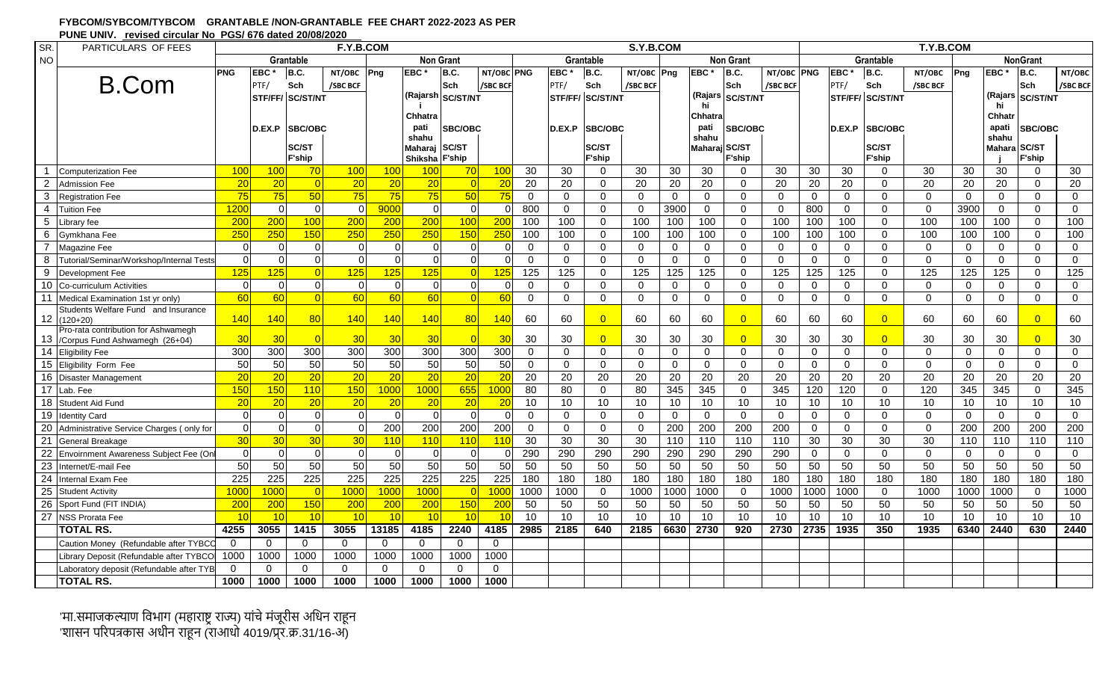| FYBCOM/SYBCOM/TYBCOM GRANTABLE /NON-GRANTABLE FEE CHART 2022-2023 AS PER |
|--------------------------------------------------------------------------|
| PUNE UNIV. revised circular No PGS/676 dated 20/08/2020                  |

| SR.             | PARTICULARS OF FEES                               |                  |                  |                  | F.Y.B.COM        |                  |                  | S.Y.B.COM      |                  |                |                |                 |             |                  |                  |                  |             | T.Y.B.COM    |                  |                  |          |             |                 |                 |                 |  |  |
|-----------------|---------------------------------------------------|------------------|------------------|------------------|------------------|------------------|------------------|----------------|------------------|----------------|----------------|-----------------|-------------|------------------|------------------|------------------|-------------|--------------|------------------|------------------|----------|-------------|-----------------|-----------------|-----------------|--|--|
| <b>NO</b>       |                                                   |                  |                  | Grantable        |                  |                  | <b>Non Grant</b> |                |                  |                |                | Grantable       |             |                  |                  | <b>Non Grant</b> |             | Grantable    |                  |                  |          |             | <b>NonGrant</b> |                 |                 |  |  |
|                 |                                                   | <b>PNG</b>       | EBC <sup>+</sup> | B.C.             | NT/OBC           | Png              | <b>EBC</b>       | B.C.           | NT/OBC PNG       |                | <b>EBC</b>     | B.C.            | NT/OBC Png  |                  | EBC <sup>+</sup> | B.C.             | NT/OBC PNG  |              | EBC <sup>*</sup> | B.C.             | NT/OBC   | Png         | <b>EBC</b>      | <b>B.C.</b>     | NT/OBC          |  |  |
|                 | <b>B.Com</b>                                      |                  | PTF/             | Sch              | /SBC BCF         |                  |                  | Sch            | /SBC BCF         |                | PTF/           | Sch             | /SBC BCF    |                  |                  | Sch              | /SBC BCF    |              | PTF/             | Sch              | /SBC BCF |             |                 | Sch             | /SBC BCF        |  |  |
|                 |                                                   |                  |                  | STF/FF/ SC/ST/NT |                  |                  | (Rajarsh         | SC/ST/NT       |                  |                |                | STF/FF/SC/ST/NT |             |                  | (Rajars<br>hi    | <b>SC/ST/NT</b>  |             |              |                  | STF/FF/ SC/ST/NT |          |             | (Rajars         | <b>SC/ST/NT</b> |                 |  |  |
|                 |                                                   |                  |                  |                  |                  |                  | Chhatra          |                |                  |                |                |                 |             |                  | Chhatra          |                  |             |              |                  |                  |          |             | hi<br>Chhatr    |                 |                 |  |  |
|                 |                                                   |                  | D.EX.P           | <b>SBC/OBC</b>   |                  |                  | pati             | <b>SBC/OBC</b> |                  |                | D.EX.P         | <b>SBC/OBC</b>  |             |                  | pati             | <b>SBC/OBC</b>   |             |              | D.EX.P           | <b>SBC/OBC</b>   |          |             | apati           | <b>SBC/OBC</b>  |                 |  |  |
|                 |                                                   |                  |                  |                  |                  |                  | shahu            |                |                  |                |                |                 |             |                  | shahu            |                  |             |              |                  |                  |          |             | shahu           |                 |                 |  |  |
|                 |                                                   |                  |                  | <b>SC/ST</b>     |                  |                  | Maharaj SC/ST    |                |                  |                |                | SC/ST           |             |                  | Maharaj SC/ST    |                  |             |              |                  | SC/ST            |          |             | <b>Mahara</b>   | <b>SC/ST</b>    |                 |  |  |
|                 |                                                   |                  |                  | <b>F'ship</b>    |                  |                  | Shiksha F'ship   |                |                  |                |                | <b>F'ship</b>   |             |                  |                  | <b>F'ship</b>    |             |              |                  | <b>F'ship</b>    |          |             |                 | <b>F'ship</b>   |                 |  |  |
| $\overline{1}$  | <b>Computerization Fee</b>                        | 100              | 100              | 70               | 100              | 100              | 100              | 70             | 100              | 30             | 30             | $\Omega$        | 30          | 30               | 30               | $\Omega$         | 30          | 30           | 30               | $\Omega$         | 30       | 30          | 30              | $\Omega$        | 30              |  |  |
| $\overline{2}$  | <b>Admission Fee</b>                              | 20               | 20               |                  | 20               | 20               | 20               |                | 20               | 20             | 20             | $\Omega$        | 20          | 20               | 20               | $\Omega$         | 20          | 20           | 20               | 0                | 20       | 20          | 20              | $\Omega$        | 20              |  |  |
| $\mathbf{3}$    | <b>Registration Fee</b>                           | 75               | 75               | 50               | 75               | 75               | 75               | 50             | 75               | $\mathbf 0$    | $\overline{0}$ | $\mathbf 0$     | $\mathbf 0$ | $\mathbf{0}$     | $\mathbf 0$      | $\mathbf{0}$     | $\Omega$    | $\mathbf 0$  | $\Omega$         | $\Omega$         | $\Omega$ | $\Omega$    | $\mathbf{0}$    | $\Omega$        | $\mathbf 0$     |  |  |
| $\overline{4}$  | <b>Tuition Fee</b>                                | 1200             | $\Omega$         | $\Omega$         | $\Omega$         | 9000             | $\overline{0}$   | $\Omega$       | $\Omega$         | 800            | $\mathbf{0}$   | $\mathbf 0$     | $\mathbf 0$ | 3900             | $\mathbf 0$      | $\mathbf{0}$     | $\mathbf 0$ | 800          | $\mathbf{0}$     | 0                | 0        | 3900        | $\mathbf{0}$    | $\Omega$        | $\mathbf 0$     |  |  |
| $5\phantom{.0}$ | Library fee                                       | 200              | 200              | 100              | 200              | 200              | 200              | 100            | 200              | 100            | 100            | $\Omega$        | 100         | 100              | 100              | $\Omega$         | 100         | 100          | 100              | $\Omega$         | 100      | 100         | 100             | $\Omega$        | 100             |  |  |
| 6               | Gymkhana Fee                                      | 250              | 250              | 150              | 250              | 250              | 250              | 150            | 250              | 100            | 100            | $\mathbf 0$     | 100         | 100              | 100              | $\Omega$         | 100         | 100          | 100              | $\Omega$         | 100      | 100         | 100             | $\mathbf 0$     | 100             |  |  |
| $\overline{7}$  | Magazine Fee                                      | $\Omega$         | $\Omega$         | $\Omega$         | $\Omega$         | $\mathbf 0$      | $\overline{0}$   | $\Omega$       | $\Omega$         | $\mathbf 0$    | $\mathbf{0}$   | $\mathbf 0$     | $\mathbf 0$ | 0                | $\mathbf 0$      | $\mathbf 0$      | $\Omega$    | 0            | $\mathbf{0}$     | $\Omega$         | $\Omega$ | $\mathbf 0$ | $\mathbf 0$     | $\mathbf 0$     | $\mathbf 0$     |  |  |
| 8               | Tutorial/Seminar/Workshop/Internal Tests          |                  | $\Omega$         |                  | $\Omega$         | $\Omega$         | $\Omega$         | $\Omega$       | $\Omega$         | $\Omega$       | $\Omega$       | $\Omega$        | $\Omega$    | $\Omega$         | $\Omega$         | $\Omega$         | $\Omega$    | $\mathbf 0$  | $\Omega$         | $\Omega$         | $\Omega$ | $\Omega$    | $\Omega$        | $\Omega$        | $\Omega$        |  |  |
| 9               | Development Fee                                   | 125              | 125              |                  | 125              | 125              | 125              |                | 125              | 125            | 125            | $\mathbf 0$     | 125         | 125              | 125              | $\mathbf 0$      | 125         | 125          | 125              | $\Omega$         | 125      | 125         | 125             | $\mathbf 0$     | $\frac{1}{25}$  |  |  |
| 10              | Co-curriculum Activities                          | $\Omega$         | $\mathbf 0$      | U                | $\Omega$         | $\overline{0}$   | $\overline{0}$   | $\Omega$       | $\Omega$         | $\Omega$       | $\Omega$       | $\mathbf 0$     | $\mathbf 0$ | 0                | $\Omega$         | $\Omega$         | $\Omega$    | 0            | $\mathbf 0$      | $\Omega$         | $\Omega$ | $\Omega$    | $\mathbf 0$     | $\mathbf 0$     | $\mathbf 0$     |  |  |
| 11              | Medical Examination 1st yr only)                  | 60               | 60               |                  | 60               | 60               | 60               |                | 60               | $\overline{0}$ | $\overline{0}$ | $\mathbf 0$     | $\mathbf 0$ | 0                | $\mathbf 0$      | $\Omega$         | $\Omega$    | $\mathbf 0$  | $\mathbf{0}$     | $\Omega$         | $\Omega$ | $\Omega$    | $\mathbf 0$     | $\Omega$        | $\mathbf 0$     |  |  |
| 12              | Students Welfare Fund and Insurance<br>$(120+20)$ | 140              | 140              | 80               | 140              | 140              | 140              | 80             | 140              | 60             | 60             | $\overline{0}$  | 60          | 60               | 60               | $\overline{0}$   | 60          | 60           | 60               | $\overline{0}$   | 60       | 60          | 60              | $\overline{0}$  | 60              |  |  |
|                 | Pro-rata contribution for Ashwamegh               |                  |                  |                  |                  |                  |                  |                |                  |                |                |                 |             |                  |                  |                  |             |              |                  |                  |          |             |                 |                 |                 |  |  |
| 13              | Corpus Fund Ashwamegh (26+04)                     | 30               | 30               |                  | 30               | 30               | 30               |                | 30               | 30             | 30             | $\overline{0}$  | 30          | 30               | 30               | $\overline{0}$   | 30          | 30           | 30               | $\overline{0}$   | 30       | 30          | 30              | $\overline{0}$  | 30              |  |  |
| $\overline{14}$ | <b>Eligibility Fee</b>                            | 300              | 300              | $\overline{300}$ | 300              | 300              | 300              | 300            | 300              | $\mathbf{0}$   | $\mathbf 0$    | $\mathbf 0$     | $\mathbf 0$ | 0                | $\Omega$         | $\mathbf 0$      | $\Omega$    | $\mathbf 0$  | $\mathbf 0$      | $\Omega$         | $\Omega$ | $\Omega$    | $\mathbf 0$     | $\mathbf 0$     | $\mathbf 0$     |  |  |
| 15              | Eligibility Form Fee                              | 50               | 50               | 50               | 50               | 50               | 50               | 50             | 50               | $\mathbf 0$    | $\mathbf{0}$   | $\mathbf 0$     | $\mathbf 0$ | $\mathbf 0$      | $\mathbf 0$      | $\mathbf 0$      | $\Omega$    | $\mathbf 0$  | $\Omega$         | $\Omega$         | $\Omega$ | $\Omega$    | $\mathbf 0$     | $\Omega$        | $\mathbf 0$     |  |  |
| 16              | <b>Disaster Management</b>                        | 20               | 20               | 20               | 20               | 20               | 20               | 20             | 20               | 20             | 20             | 20              | 20          | 20               | 20               | 20               | 20          | 20           | 20               | 20               | 20       | 20          | 20              | 20              | $\overline{20}$ |  |  |
| 17              | Lab. Fee                                          | 15 <sub>C</sub>  | 150              | 110              | 150              | 1000             | 1000             | 655            | 1000             | 80             | 80             | $\Omega$        | 80          | 345              | 345              | $\mathbf 0$      | 345         | 120          | 120              | $\Omega$         | 120      | 345         | 345             | $\mathbf 0$     | 345             |  |  |
| $\overline{18}$ | Student Aid Fund                                  | 20               | 20               | 20               | 20               | 20               | 20               | 20             | 20               | 10             | 10             | 10              | 10          | 10               | 10               | 10               | 10          | 10           | 10               | 10 <sup>1</sup>  | 10       | 10          | 10              | 10              | 10              |  |  |
| 19              | <b>Identity Card</b>                              | $\Omega$         | $\overline{0}$   | $\Omega$         | $\Omega$         | $\overline{0}$   | $\overline{0}$   | $\Omega$       | $\Omega$         | $\Omega$       | $\mathbf{0}$   | $\mathbf 0$     | $\mathbf 0$ | $\mathbf 0$      | $\Omega$         | $\mathbf{0}$     | $\mathbf 0$ | $\mathbf 0$  | $\Omega$         | $\Omega$         | $\Omega$ | $\Omega$    | $\mathbf 0$     | $\Omega$        | $\mathbf 0$     |  |  |
| 20              | Administrative Service Charges (only for          |                  | $\Omega$         |                  | $\Omega$         | 200              | 200              | 200            | 200              | $\Omega$       | $\mathbf 0$    | $\mathbf 0$     | $\mathbf 0$ | 200              | 200              | 200              | 200         | $\mathbf 0$  | $\Omega$         | $\Omega$         | 0        | 200         | 200             | 200             | 200             |  |  |
| 21              | General Breakage                                  | 30               | 30               | 30               | 30               | 110              | 110              | 110            | 110              | 30             | 30             | 30              | 30          | $\overline{110}$ | $\overline{110}$ | 110              | 110         | 30           | 30               | 30               | 30       | 110         | 110             | 110             | 110             |  |  |
| $\overline{22}$ | Envoirnment Awareness Subject Fee (On             |                  | $\Omega$         | $\Omega$         | ∩                | $\mathbf 0$      | $\overline{0}$   | $\Omega$       | $\Omega$         | 290            | 290            | 290             | 290         | 290              | 290              | 290              | 290         | $\mathbf{0}$ | $\Omega$         | $\Omega$         | $\Omega$ | $\Omega$    | $\Omega$        | $\Omega$        | $\mathbf 0$     |  |  |
| 23              | Internet/E-mail Fee                               | 50               | 50               | 50               | 50               | 50               | 50               | 50             | 50               | 50             | 50             | 50              | 50          | 50               | 50               | 50               | 50          | 50           | 50               | 50               | 50       | 50          | 50              | 50              | 50              |  |  |
| $\overline{24}$ | <b>Internal Exam Fee</b>                          | 225              | $\overline{225}$ | $\overline{225}$ | 225              | $\overline{225}$ | 225              | 225            | 225              | 180            | 180            | 180             | 180         | 180              | 180              | 180              | 180         | 180          | 180              | 180              | 180      | 180         | 180             | 180             | 180             |  |  |
| $\overline{25}$ | <b>Student Activity</b>                           | 100 <sub>0</sub> | 1000             |                  | 1000             | 1000             | 1000             |                | 1000             | 1000           | 1000           | $\mathbf 0$     | 1000        | 1000             | 1000             | $\mathbf 0$      | 1000        | 1000         | 1000             | $\mathbf 0$      | 1000     | 1000        | 1000            | $\mathbf 0$     | 1000            |  |  |
| $\overline{26}$ | Sport Fund (FIT INDIA)                            | 200              | 200              | 150              | $\overline{200}$ | 200              | $\overline{200}$ | 150            | $\overline{200}$ | 50             | 50             | 50              | 50          | 50               | 50               | 50               | 50          | 50           | 50               | 50               | 50       | 50          | 50              | 50              | 50              |  |  |
|                 | 27 NSS Prorata Fee                                | 10               | 10               | 10               | 10               | 10               | 10               | 10             | 10               | 10             | 10             | 10              | 10          | 10               | 10               | 10               | 10          | 10           | 10               | 10               | 10       | 10          | 10              | 10              | 10              |  |  |
|                 | <b>TOTAL RS.</b>                                  | 4255             | 3055             | 1415             | 3055             | 13185            | 4185             | 2240           | 4185             | 2985           | 2185           | 640             | 2185        | 6630             | 2730             | 920              | 2730        | 2735         | 1935             | 350              | 1935     | 6340        | 2440            | 630             | 2440            |  |  |
|                 | Caution Money (Refundable after TYBC              | $\Omega$         | $\Omega$         | $\Omega$         | $\Omega$         | $\Omega$         | $\Omega$         | $\Omega$       | $\Omega$         |                |                |                 |             |                  |                  |                  |             |              |                  |                  |          |             |                 |                 |                 |  |  |
|                 | Library Deposit (Refundable after TYBCO           | 1000             | 1000             | 1000             | 1000             | 1000             | 1000             | 1000           | 1000             |                |                |                 |             |                  |                  |                  |             |              |                  |                  |          |             |                 |                 |                 |  |  |
|                 | Laboratory deposit (Refundable after TYB          | $\Omega$         | $\mathbf 0$      | $\Omega$         | $\mathbf{0}$     | $\Omega$         | $\mathbf{0}$     | $\mathbf 0$    | $\overline{0}$   |                |                |                 |             |                  |                  |                  |             |              |                  |                  |          |             |                 |                 |                 |  |  |
|                 | <b>TOTAL RS.</b>                                  | 1000             | 1000             | 1000             | 1000             | 1000             | 1000             | 1000           | 1000             |                |                |                 |             |                  |                  |                  |             |              |                  |                  |          |             |                 |                 |                 |  |  |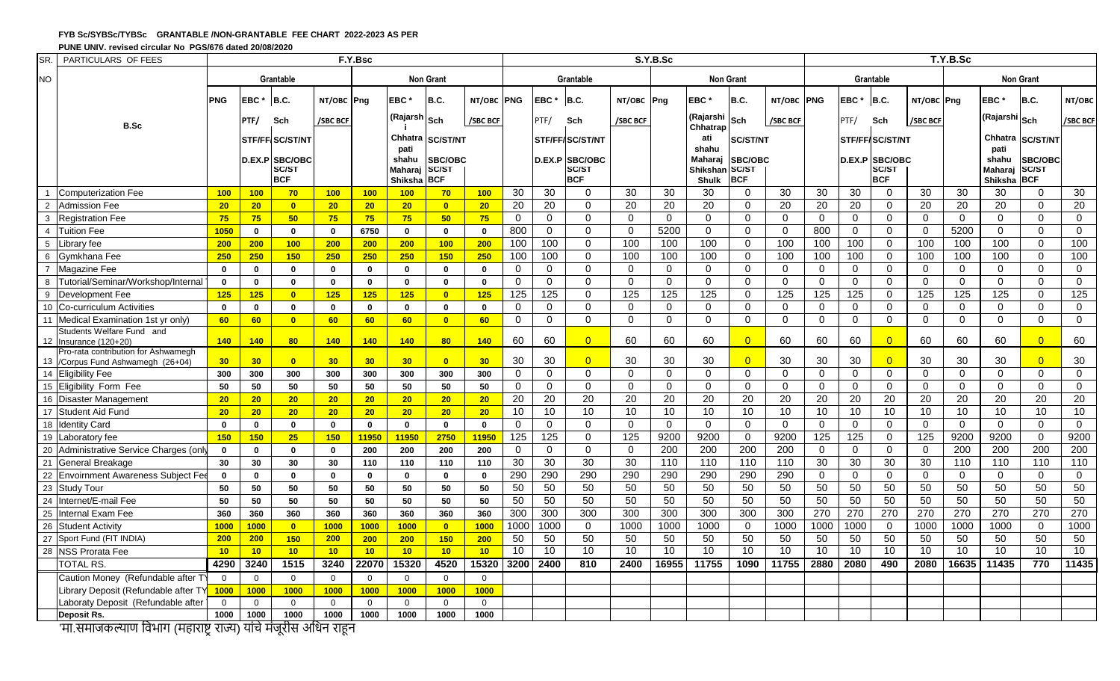### **FYB Sc/SYBSc/TYBSc GRANTABLE /NON-GRANTABLE FEE CHART 2022-2023 AS PER**

#### **PUNE UNIV. revised circular No PGS/676 dated 20/08/2020**

| SR.             | PARTICULARS OF FEES                                          | F.Y.Bsc      |                |                        |                 |                 |                           |                            |                | S.Y.B.Sc        |                 |                       |                 |                  |                                |                  |                 | T.Y.B.Sc        |                 |                        |                |                  |                        |                 |                 |
|-----------------|--------------------------------------------------------------|--------------|----------------|------------------------|-----------------|-----------------|---------------------------|----------------------------|----------------|-----------------|-----------------|-----------------------|-----------------|------------------|--------------------------------|------------------|-----------------|-----------------|-----------------|------------------------|----------------|------------------|------------------------|-----------------|-----------------|
| <b>NO</b>       |                                                              |              |                | Grantable              |                 |                 |                           | <b>Non Grant</b>           |                |                 |                 | Grantable             |                 |                  |                                | <b>Non Grant</b> |                 |                 |                 | Grantable              |                | <b>Non Grant</b> |                        |                 |                 |
|                 |                                                              | <b>PNG</b>   | EBC*           | B.C.                   | NT/OBC Png      |                 | EBC <sup>+</sup>          | B.C.                       | NT/OBC PNG     |                 | <b>EBC</b>      | B.C.                  | NT/OBC Png      |                  | EBC <sup>*</sup>               | B.C.             | NT/OBC PNG      |                 | EBC*            | B.C.                   | NT/OBC Png     |                  | EBC <sup>:</sup>       | B.C.            | NT/OBC          |
|                 | <b>B.Sc</b>                                                  |              | PTF/           | Sch                    | /SBC BCF        |                 | (Rajarsh Sch              |                            | /SBC BCF       |                 | PTF/            | Sch                   | /SBC BCF        |                  | (Rajarshi<br>Chhatrap          | Sch              | /SBC BCF        |                 | PTF/            | Sch                    | /SBC BCF       |                  | (Rajarshi Sch          |                 | /SBC BCF        |
|                 |                                                              |              |                | <b>STF/FF/SC/ST/NT</b> |                 |                 | Chhatra                   | <b>SC/ST/NT</b>            |                |                 |                 | STF/FF/SC/ST/NT       |                 |                  | ati                            | <b>SC/ST/NT</b>  |                 |                 |                 | <b>STF/FF/SC/ST/NT</b> |                |                  | Chhatra                | <b>SC/ST/NT</b> |                 |
|                 |                                                              |              |                | D.EX.P SBC/OBC         |                 |                 | pati<br>shahu             | SBC/OBC                    |                |                 |                 | <b>D.EX.P SBC/OBC</b> |                 |                  | shahu<br>Maharaj               | SBC/OBC          |                 |                 |                 | <b>D.EX.P SBC/OBC</b>  |                |                  | pati<br>shahu          | SBC/OBC         |                 |
|                 |                                                              |              |                | SC/ST<br><b>BCF</b>    |                 |                 | <b>Maharai</b><br>Shiksha | <b>SC/ST</b><br><b>BCF</b> |                |                 |                 | SC/ST<br><b>BCF</b>   |                 |                  | Shikshan SC/ST<br><b>Shulk</b> | <b>BCF</b>       |                 |                 |                 | SC/ST<br><b>BCF</b>    |                |                  | Maharai<br>Shiksha BCF | <b>SC/ST</b>    |                 |
|                 | <b>Computerization Fee</b>                                   | 100          | 100            | 70                     | 100             | 100             | 100                       | $70^{\circ}$               | 100            | 30              | 30              | $\Omega$              | 30              | 30               | 30                             | 0                | 30              | 30              | 30              | 0                      | 30             | 30               | 30                     | 0               | 30              |
| $\overline{2}$  | <b>Admission Fee</b>                                         | 20           | 20             | $\bullet$              | 20              | 20              | 20 <sub>2</sub>           | $\bullet$                  | 20             | 20              | $\overline{20}$ | $\Omega$              | 20              | 20               | 20                             | $\mathbf 0$      | 20              | 20              | $\overline{20}$ | $\mathbf 0$            | 20             | 20               | 20                     | $\overline{0}$  | $\overline{20}$ |
| 3               | <b>Registration Fee</b>                                      | 75           | 75             | 50 <sub>2</sub>        | 75              | 75              | 75                        | 50 <sub>2</sub>            | 75             | $\Omega$        | $\Omega$        | $\Omega$              | $\Omega$        | $\Omega$         | $\Omega$                       | $\mathbf 0$      | $\Omega$        | $\Omega$        | $\Omega$        | $\Omega$               | $\Omega$       | $\Omega$         | $\Omega$               | $\Omega$        | $\overline{0}$  |
| $\overline{4}$  | <b>Tuition Fee</b>                                           | 1050         | $\mathbf{0}$   | $\mathbf{0}$           | $\mathbf{0}$    | 6750            | $\mathbf{0}$              | $\mathbf 0$                | $\mathbf 0$    | 800             | $\mathbf 0$     | $\Omega$              | $\Omega$        | 5200             | $\Omega$                       | $\mathbf 0$      | $\mathbf 0$     | 800             | $\mathbf 0$     | 0                      | $\overline{0}$ | 5200             | $\Omega$               | $\Omega$        | $\overline{0}$  |
| $5\overline{5}$ | <b>Library</b> fee                                           | 200          | 200            | 100                    | 200             | 200             | 200                       | 100                        | 200            | 100             | 100             | $\Omega$              | 100             | 100              | 100                            | $\mathbf 0$      | 100             | 100             | 100             | $\mathbf 0$            | 100            | 100              | 100                    | $\overline{0}$  | 100             |
| 6               | Gymkhana Fee                                                 | 250          | 250            | 150                    | 250             | 250             | 250                       | 150                        | 250            | 100             | 100             | $\mathbf 0$           | 100             | 100              | 100                            | $\mathbf 0$      | 100             | 100             | 100             | $\overline{0}$         | 100            | 100              | 100                    | $\mathbf 0$     | 100             |
| $\overline{7}$  | Magazine Fee                                                 | $\mathbf{0}$ | $\mathbf 0$    | $\mathbf{0}$           | $\mathbf{0}$    | $\mathbf 0$     | $\mathbf{0}$              | $\mathbf{0}$               | $\mathbf{0}$   | $\Omega$        | $\Omega$        | $\Omega$              | $\Omega$        | $\Omega$         | $\Omega$                       | $\Omega$         | 0               | $\mathbf 0$     | $\Omega$        | 0                      | $\Omega$       | $\Omega$         | $\Omega$               | $\Omega$        | $\mathbf 0$     |
| 8               | Tutorial/Seminar/Workshop/Internal                           | $\mathbf 0$  | $\mathbf 0$    | $\mathbf{0}$           | $\mathbf{0}$    | $\mathbf{0}$    | $\mathbf{0}$              | $\mathbf{0}$               | $\mathbf{0}$   | $\Omega$        | $\Omega$        | $\Omega$              | $\Omega$        | $\Omega$         | $\Omega$                       | $\Omega$         | $\overline{0}$  | $\Omega$        | $\Omega$        | $\Omega$               | $\Omega$       | $\Omega$         | $\Omega$               | $\Omega$        | $\mathbf 0$     |
| 9               | Development Fee                                              | 125          | 125            | $\overline{0}$         | 125             | 125             | 125                       | $\mathbf{0}$               | 125            | 125             | 125             | $\Omega$              | 125             | $\overline{125}$ | 125                            | 0                | 125             | 125             | 125             | 0                      | 125            | 125              | $\frac{1}{25}$         | $\mathbf 0$     | 125             |
| 10              | Co-curriculum Activities                                     | $\mathbf{0}$ | $\mathbf 0$    | $\mathbf{0}$           | $\bf{0}$        | $\mathbf 0$     | $\mathbf{0}$              | $\mathbf 0$                | $\mathbf{0}$   | $\mathbf 0$     | $\mathbf 0$     | $\Omega$              | $\Omega$        | $\mathbf{0}$     | $\mathbf 0$                    | $\mathbf 0$      | $\mathbf 0$     | $\mathbf 0$     | $\mathbf 0$     | $\mathbf 0$            | $\mathbf 0$    | $\mathbf 0$      | $\Omega$               | $\Omega$        | $\mathbf 0$     |
| 11              | Medical Examination 1st yr only)                             | 60           | 60             | $\overline{0}$         | 60              | 60              | 60                        | $\mathbf{0}$               | 60             | $\Omega$        | $\Omega$        | $\Omega$              | $\Omega$        | $\Omega$         | $\Omega$                       | $\Omega$         | $\Omega$        | $\Omega$        | $\Omega$        | $\Omega$               | $\Omega$       | $\Omega$         | $\Omega$               | $\Omega$        | $\Omega$        |
|                 | Students Welfare Fund and                                    | 140          | 140            | 80                     | 140             | 140             | 140                       | 80                         | 140            | 60              | 60              | $\Omega$              | 60              | 60               | 60                             | $\overline{0}$   | 60              | 60              | 60              | $\Omega$               | 60             | 60               | 60                     | $\Omega$        | 60              |
|                 | 12 Insurance (120+20)<br>Pro-rata contribution for Ashwamegh |              |                |                        |                 |                 |                           |                            |                |                 |                 |                       |                 |                  |                                |                  |                 |                 |                 |                        |                |                  |                        |                 |                 |
|                 | 13 / Corpus Fund Ashwamegh (26+04)                           | 30           | 30             | $\overline{0}$         | 30 <sub>2</sub> | 30              | 30 <sub>2</sub>           | $\overline{0}$             | 30             | 30              | 30              | $\Omega$              | 30              | 30               | 30                             | $\overline{0}$   | 30              | 30              | 30              | $\overline{0}$         | 30             | 30               | 30                     | $\Omega$        | 30              |
|                 | 14 Eligibility Fee                                           | 300          | 300            | 300                    | 300             | 300             | 300                       | 300                        | 300            | $\Omega$        | $\Omega$        | $\Omega$              | $\Omega$        | $\Omega$         | $\Omega$                       | $\mathbf 0$      | $\overline{0}$  | $\Omega$        | $\mathbf{0}$    | $\Omega$               | $\Omega$       | $\Omega$         | $\Omega$               | $\overline{0}$  | $\overline{0}$  |
|                 | 15 Eligibility Form Fee                                      | 50           | 50             | 50                     | 50              | 50              | 50                        | 50                         | 50             | $\mathbf 0$     | $\mathbf{0}$    | $\Omega$              | $\Omega$        | $\Omega$         | $\Omega$                       | $\mathbf 0$      | $\mathbf 0$     | $\mathbf 0$     | $\mathbf 0$     | $\mathbf 0$            | $\Omega$       | $\Omega$         | $\Omega$               | $\Omega$        | $\mathbf{0}$    |
| 16              | Disaster Management                                          | 20           | 20             | 20 <sub>2</sub>        | 20 <sub>2</sub> | 20 <sub>2</sub> | 20 <sub>2</sub>           | 20 <sub>2</sub>            | 20             | $\overline{20}$ | 20              | $\overline{20}$       | $\overline{20}$ | $\overline{20}$  | $\overline{20}$                | $\overline{20}$  | $\overline{20}$ | $\overline{20}$ | $\overline{20}$ | $\overline{20}$        | 20             | $\overline{20}$  | 20                     | $\overline{20}$ | 20              |
|                 | 17 Student Aid Fund                                          | 20           | 20             | 20 <sub>2</sub>        | 20 <sub>2</sub> | 20              | 20 <sub>2</sub>           | 20 <sub>2</sub>            | 20             | 10              | 10              | 10                    | 10              | 10               | 10                             | 10               | 10              | 10              | 10              | 10                     | 10             | 10               | 10                     | 10              | 10              |
|                 | 18 Identity Card                                             | $\mathbf{0}$ | $\mathbf{0}$   | $\mathbf{0}$           | $\mathbf{0}$    | $\mathbf{0}$    | $\mathbf{0}$              | $\mathbf{0}$               | $\mathbf{0}$   | $\Omega$        | $\Omega$        | $\Omega$              | $\Omega$        | $\Omega$         | $\Omega$                       | $\Omega$         | $\Omega$        | $\Omega$        | $\mathbf 0$     | $\Omega$               | $\Omega$       | $\Omega$         | $\Omega$               | $\Omega$        | $\mathbf 0$     |
|                 | 19 Laboratory fee                                            | 150          | 150            | 25                     | 150             | 11950           | 11950                     | 2750                       | 11950          | 125             | 125             | $\Omega$              | 125             | 9200             | 9200                           | $\mathbf 0$      | 9200            | 125             | 125             | $\mathbf 0$            | 125            | 9200             | 9200                   | $\Omega$        | 9200            |
|                 | 20 Administrative Service Charges (only                      | $\mathbf 0$  | $\mathbf 0$    | $\mathbf{0}$           | $\mathbf{0}$    | 200             | 200                       | 200                        | 200            | $\mathbf 0$     | 0               | $\mathbf 0$           | $\Omega$        | 200              | 200                            | 200              | 200             | $\mathbf 0$     | $\mathbf 0$     | $\mathbf 0$            | $\mathbf 0$    | 200              | 200                    | 200             | 200             |
| 21              | General Breakage                                             | 30           | 30             | 30                     | 30              | 110             | 110                       | 110                        | 110            | $\overline{30}$ | $\overline{30}$ | 30                    | 30              | 110              | 110                            | 110              | 110             | 30              | 30              | 30                     | 30             | 110              | 110                    | 110             | 110             |
|                 | 22 Envoirnment Awareness Subiect Fee                         | $\mathbf{0}$ | $\mathbf 0$    | $\mathbf{0}$           | $\mathbf{0}$    | $\mathbf{0}$    | $\mathbf{0}$              | $\mathbf{0}$               | $\mathbf{0}$   | 290             | 290             | 290                   | 290             | 290              | 290                            | 290              | 290             | $\Omega$        | $\mathbf{0}$    | $\Omega$               | $\Omega$       | $\Omega$         | $\Omega$               | $\Omega$        | $\overline{0}$  |
|                 | 23 Study Tour                                                | 50           | 50             | 50                     | 50              | 50              | 50                        | 50                         | 50             | 50              | 50              | 50                    | 50              | 50               | 50                             | 50               | 50              | 50              | 50              | 50                     | 50             | 50               | 50                     | 50              | 50              |
|                 | 24 Internet/E-mail Fee                                       | 50           | 50             | 50                     | 50              | 50              | 50                        | 50                         | 50             | 50              | 50              | 50                    | 50              | 50               | 50                             | 50               | 50              | 50              | 50              | 50                     | 50             | 50               | 50                     | 50              | 50              |
| 25              | Internal Exam Fee                                            | 360          | 360            | 360                    | 360             | 360             | 360                       | 360                        | 360            | 300             | 300             | 300                   | 300             | 300              | 300                            | 300              | 300             | 270             | 270             | 270                    | 270            | 270              | 270                    | 270             | 270             |
|                 | 26 Student Activity                                          | 1000         | 1000           | $\overline{0}$         | 1000            | 1000            | 1000                      | $\overline{0}$             | 1000           | 1000            | 1000            | $\mathbf{0}$          | 1000            | 1000             | 1000                           | $\mathbf 0$      | 1000            | 1000            | 1000            | $\mathbf 0$            | 1000           | 1000             | 1000                   | $\Omega$        | 1000            |
| 27              | Sport Fund (FIT INDIA)                                       | 200          | 200            | 150                    | 200             | 200             | 200                       | 150                        | 200            | 50              | 50              | 50                    | 50              | 50               | 50                             | 50               | 50              | 50              | 50              | 50                     | 50             | 50               | 50                     | 50              | 50              |
|                 | 28 NSS Prorata Fee                                           | 10           | 10             | 10 <sup>2</sup>        | 10              | 10              | 10 <sup>2</sup>           | 10 <sup>1</sup>            | 10             | 10              | 10              | 10                    | 10              | $\overline{10}$  | 10                             | 10               | $\overline{10}$ | 10              | 10              | 10                     | 10             | 10               | 10                     | $\overline{10}$ | 10              |
|                 | <b>TOTAL RS.</b>                                             | 4290         | 3240           | 1515                   | 3240            | 22070           | 15320                     | 4520                       | 15320          |                 | 3200 2400       | 810                   | 2400            | 16955            | 11755                          | 1090             | 11755           | 2880            | 2080            | 490                    | 2080           | 16635            | 11435                  | 770             | 11435           |
|                 | Caution Money (Refundable after T)                           | $\Omega$     | $\overline{0}$ | $\overline{0}$         | $\Omega$        | $\overline{0}$  | $\overline{0}$            | $\overline{0}$             | $\overline{0}$ |                 |                 |                       |                 |                  |                                |                  |                 |                 |                 |                        |                |                  |                        |                 |                 |
|                 | Library Deposit (Refundable after TY                         | 1000         | <b>1000</b>    | 1000                   | 1000            | 1000            | 1000                      | 1000                       | 1000           |                 |                 |                       |                 |                  |                                |                  |                 |                 |                 |                        |                |                  |                        |                 |                 |
|                 | Laboraty Deposit (Refundable after                           | $\mathbf 0$  | $\mathbf 0$    | $\overline{0}$         | $\Omega$        | $\overline{0}$  | $\overline{0}$            | $\mathbf 0$                | $\overline{0}$ |                 |                 |                       |                 |                  |                                |                  |                 |                 |                 |                        |                |                  |                        |                 |                 |
|                 | Deposit Rs.                                                  | 1000         | 1000           | 1000                   | 1000            | 1000            | 1000                      | 1000                       | 1000           |                 |                 |                       |                 |                  |                                |                  |                 |                 |                 |                        |                |                  |                        |                 |                 |

'मा.समाजकल्याण विभाग (महाराष्ट्र राज्य) यांचे मंजूरीस अधिन राहून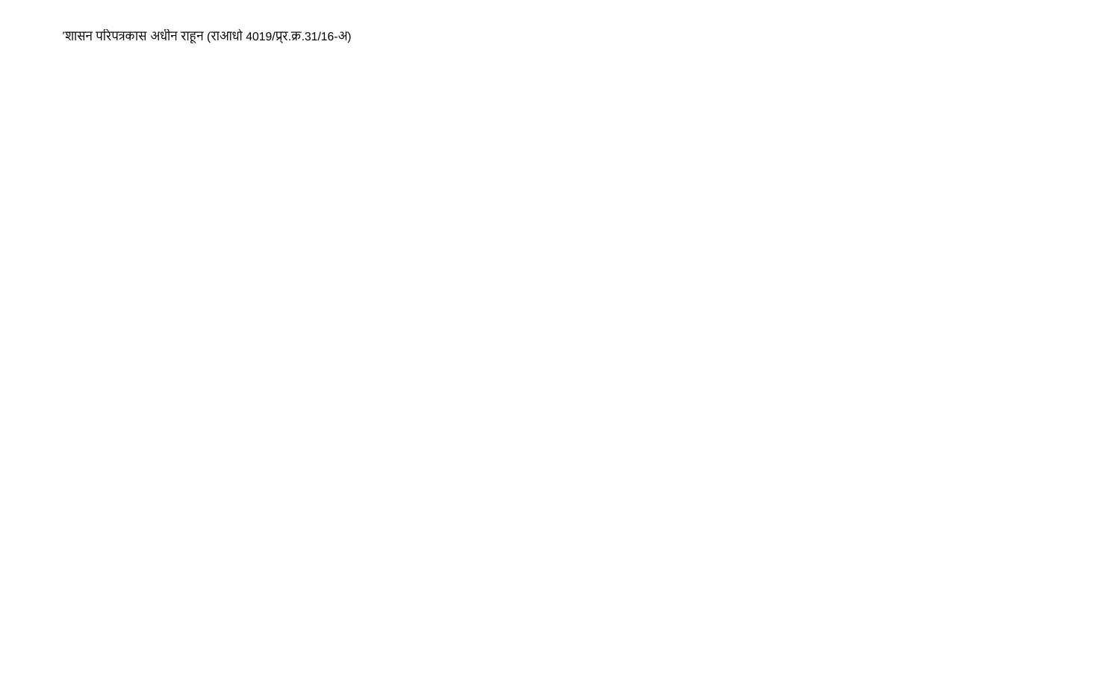'शासन परिपत्रकास अधीन राहून (राआधो ४०१९/पूर.क्र.३१/१६-अ)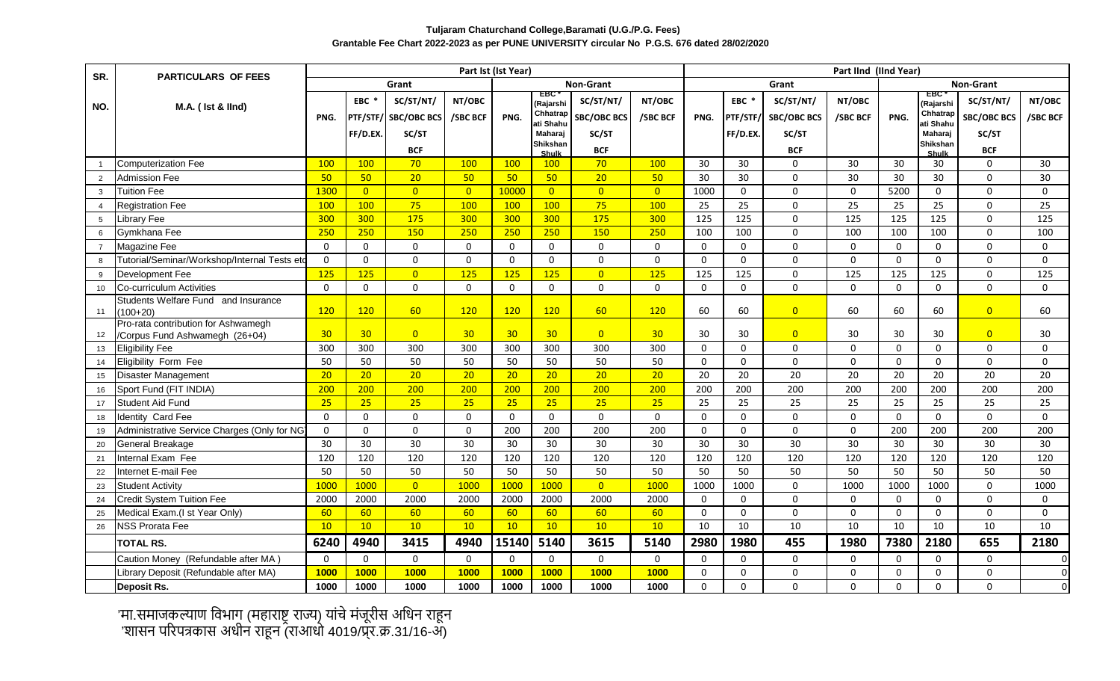# **Tuljaram Chaturchand College,Baramati (U.G./P.G. Fees) Grantable Fee Chart 2022-2023 as per PUNE UNIVERSITY circular No P.G.S. 676 dated 28/02/2020**

| SR.            | <b>PARTICULARS OF FEES</b>                                            |             |                  |                               |                 | Part Ist (Ist Year) |                            |                    | Part IInd (IInd Year) |              |              |                        |             |                  |                      |                    |                         |  |
|----------------|-----------------------------------------------------------------------|-------------|------------------|-------------------------------|-----------------|---------------------|----------------------------|--------------------|-----------------------|--------------|--------------|------------------------|-------------|------------------|----------------------|--------------------|-------------------------|--|
|                |                                                                       |             |                  | Grant                         |                 |                     |                            | <b>Non-Grant</b>   |                       |              |              | Grant                  |             | <b>Non-Grant</b> |                      |                    |                         |  |
|                | M.A. ( Ist & lind)                                                    |             | EBC <sup>*</sup> | SC/ST/NT/                     | NT/OBC          |                     | ERC<br>(Rajarshi           | SC/ST/NT/          | NT/OBC                |              | EBC *        | SC/ST/NT/              | NT/OBC      |                  | FRC<br>(Rajarshi     | SC/ST/NT/          | NT/OBC                  |  |
| NO.            |                                                                       | PNG.        |                  | <b>PTF/STF/ SBC/OBC BCS</b>   | /SBC BCF        | PNG.                | Chhatrap                   | <b>SBC/OBC BCS</b> | /SBC BCF              | PNG.         | PTF/STF/     | <b>SBC/OBC BCS</b>     | /SBC BCF    | PNG.             | Chhatrap             | <b>SBC/OBC BCS</b> | /SBC BCF                |  |
|                |                                                                       |             | FF/D.EX.         | SC/ST                         |                 |                     | ati Shahu<br>Maharaj       | SC/ST              |                       |              | FF/D.EX.     | SC/ST                  |             |                  | ati Shahu<br>Maharaj | SC/ST              |                         |  |
|                |                                                                       |             |                  |                               |                 |                     | Shikshan                   |                    |                       |              |              |                        |             |                  | Shikshan             |                    |                         |  |
|                | <b>Computerization Fee</b>                                            | 100         | 100              | <b>BCF</b><br>70 <sup>°</sup> | 100             | <b>100</b>          | <b>Shulk</b><br><b>100</b> | <b>BCF</b><br>70   | 100                   | 30           | 30           | <b>BCF</b><br>$\Omega$ | 30          | 30               | <b>Shulk</b><br>30   | <b>BCF</b><br>0    | 30                      |  |
| $\overline{2}$ | Admission Fee                                                         | 50          | 50               | 20 <sub>2</sub>               | 50              | 50                  | 50                         | 20 <sup>°</sup>    | 50                    | 30           | 30           | $\Omega$               | 30          | 30               | 30                   | $\mathbf{0}$       | 30                      |  |
| $\overline{3}$ | Tuition Fee                                                           | 1300        | $\overline{0}$   | $\overline{0}$                | $\overline{0}$  | 10000               | $\overline{0}$             | $\overline{0}$     | $\overline{0}$        | 1000         | $\mathbf 0$  | $\Omega$               | $\mathbf 0$ | 5200             | $\mathbf 0$          | $\mathbf 0$        | $\Omega$                |  |
| $\overline{4}$ | <b>Registration Fee</b>                                               | 100         | 100              | 75                            | 100             | 100                 | 100                        | 75                 | 100                   | 25           | 25           | $\Omega$               | 25          | 25               | 25                   | $\mathbf{0}$       | 25                      |  |
| 5              | Library Fee                                                           | 300         | 300              | 175                           | 300             | 300                 | 300                        | 175                | 300                   | 125          | 125          | $\Omega$               | 125         | 125              | 125                  | $\Omega$           | 125                     |  |
| 6              | Gymkhana Fee                                                          | 250         | 250              | 150                           | 250             | 250                 | 250                        | 150                | 250                   | 100          | 100          | $\Omega$               | 100         | 100              | 100                  | $\mathbf{0}$       | 100                     |  |
| $\overline{7}$ | Magazine Fee                                                          | $\Omega$    | $\Omega$         | $\mathbf{0}$                  | $\mathbf{0}$    | $\Omega$            | $\Omega$                   | $\Omega$           | $\Omega$              | $\mathbf{0}$ | $\Omega$     | $\Omega$               | $\Omega$    | $\Omega$         | $\mathbf{0}$         | $\mathbf{0}$       | $\Omega$                |  |
| -8             | Tutorial/Seminar/Workshop/Internal Tests eto                          | $\mathbf 0$ | $\Omega$         | $\mathsf{O}\xspace$           | $\mathbf 0$     | $\mathbf 0$         | $\Omega$                   | $\mathbf 0$        | $\mathbf 0$           | $\Omega$     | $\mathbf 0$  | $\Omega$               | $\mathbf 0$ | $\mathbf 0$      | $\mathbf 0$          | $\mathbf 0$        | $\mathbf 0$             |  |
| 9              | Development Fee                                                       | 125         | 125              | $\overline{0}$                | 125             | 125                 | 125                        | $\overline{0}$     | 125                   | 125          | 125          | $\mathsf{O}$           | 125         | 125              | 125                  | $\mathsf 0$        | 125                     |  |
| 10             | Co-curriculum Activities                                              | $\Omega$    | $\Omega$         | $\mathbf 0$                   | $\mathbf 0$     | $\Omega$            | $\Omega$                   | $\mathbf{0}$       | $\Omega$              | $\Omega$     | $\mathbf 0$  | $\mathbf 0$            | $\mathbf 0$ | $\Omega$         | $\mathbf{0}$         | $\Omega$           | $\Omega$                |  |
|                | Students Welfare Fund and Insurance                                   |             |                  |                               |                 |                     |                            |                    |                       |              |              |                        |             |                  |                      |                    |                         |  |
| 11             | $(100+20)$                                                            | 120         | 120              | 60                            | 120             | 120                 | 120                        | 60                 | 120                   | 60           | 60           | $\overline{0}$         | 60          | 60               | 60                   | $\overline{0}$     | 60                      |  |
| 12             | Pro-rata contribution for Ashwamegh<br>/Corpus Fund Ashwamegh (26+04) | 30          | 30               | $\overline{0}$                | 30 <sub>2</sub> | 30                  | 30                         | $\overline{0}$     | 30                    | 30           | 30           | $\overline{0}$         | 30          | 30               | 30                   | $\overline{0}$     | 30                      |  |
| 13             | <b>Eligibility Fee</b>                                                | 300         | 300              | 300                           | 300             | 300                 | 300                        | 300                | 300                   | $\Omega$     | $\mathbf 0$  | $\Omega$               | $\mathbf 0$ | $\Omega$         | $\Omega$             | 0                  | $\Omega$                |  |
| 14             | Eligibility Form Fee                                                  | 50          | 50               | 50                            | 50              | 50                  | 50                         | 50                 | 50                    | $\Omega$     | $\Omega$     | $\Omega$               | $\Omega$    | $\Omega$         | $\mathbf{0}$         | $\mathbf{0}$       | $\Omega$                |  |
| 15             | <b>Disaster Management</b>                                            | 20          | 20               | 20 <sup>°</sup>               | 20 <sup>°</sup> | 20 <sub>2</sub>     | 20 <sub>2</sub>            | 20                 | 20                    | 20           | 20           | 20                     | 20          | 20               | 20                   | 20                 | 20                      |  |
| 16             | Sport Fund (FIT INDIA)                                                | 200         | 200              | 200                           | 200             | 200                 | 200                        | 200                | 200                   | 200          | 200          | $\overline{200}$       | 200         | 200              | 200                  | 200                | 200                     |  |
| 17             | Student Aid Fund                                                      | 25          | 25               | 25                            | $\overline{25}$ | 25                  | 25                         | 25                 | 25                    | 25           | 25           | 25                     | 25          | 25               | 25                   | 25                 | 25                      |  |
| 18             | <b>Identity Card Fee</b>                                              | $\Omega$    | $\Omega$         | $\mathbf 0$                   | $\mathbf 0$     | $\mathbf 0$         | $\Omega$                   | $\mathbf 0$        | $\Omega$              | $\Omega$     | $\mathsf{O}$ | $\mathsf{O}$           | $\mathbf 0$ | $\mathbf 0$      | $\mathsf 0$          | $\mathsf 0$        | $\mathbf 0$             |  |
| 19             | Administrative Service Charges (Only for NG                           | $\mathbf 0$ | $\Omega$         | $\mathbf 0$                   | $\mathbf 0$     | 200                 | 200                        | 200                | 200                   | $\mathbf 0$  | $\mathbf 0$  | $\mathsf{O}$           | $\mathbf 0$ | 200              | 200                  | 200                | 200                     |  |
| 20             | General Breakage                                                      | 30          | 30               | 30                            | 30              | 30                  | 30                         | 30                 | 30                    | 30           | 30           | 30                     | 30          | 30               | 30                   | 30                 | 30                      |  |
| 21             | Internal Exam Fee                                                     | 120         | 120              | 120                           | 120             | 120                 | 120                        | 120                | 120                   | 120          | 120          | 120                    | 120         | 120              | 120                  | 120                | 120                     |  |
| 22             | Internet E-mail Fee                                                   | 50          | 50               | 50                            | 50              | 50                  | 50                         | 50                 | 50                    | 50           | 50           | 50                     | 50          | 50               | 50                   | 50                 | 50                      |  |
| 23             | <b>Student Activity</b>                                               | 1000        | 1000             | $\overline{0}$                | 1000            | 1000                | 1000                       | $\overline{0}$     | 1000                  | 1000         | 1000         | $\Omega$               | 1000        | 1000             | 1000                 | $\mathbf{0}$       | 1000                    |  |
| 24             | <b>Credit System Tuition Fee</b>                                      | 2000        | 2000             | 2000                          | 2000            | 2000                | 2000                       | 2000               | 2000                  | $\Omega$     | $\mathbf 0$  | $\Omega$               | $\mathbf 0$ | $\mathbf{0}$     | $\Omega$             | $\mathbf{0}$       | $\Omega$                |  |
| 25             | Medical Exam.(I st Year Only)                                         | 60          | 60               | 60                            | 60              | 60                  | 60                         | 60                 | 60                    | $\mathbf{0}$ | $\mathbf{0}$ | $\Omega$               | $\mathbf 0$ | $\Omega$         | $\mathbf{0}$         | $\mathbf{0}$       | $\mathbf{0}$            |  |
| 26             | <b>NSS Prorata Fee</b>                                                | 10          | 10               | 10                            | 10              | 10                  | 10                         | 10                 | 10                    | 10           | 10           | 10                     | 10          | 10               | 10                   | 10                 | 10                      |  |
|                | <b>TOTAL RS.</b>                                                      | 6240        | 4940             | 3415                          | 4940            | 15140               | 5140                       | 3615               | 5140                  | 2980         | 1980         | 455                    | 1980        | 7380             | 2180                 | 655                | 2180                    |  |
|                | Caution Money (Refundable after MA)                                   | $\Omega$    | $\Omega$         | $\mathbf 0$                   | $\mathbf 0$     | $\mathbf{0}$        | $\mathbf{0}$               | $\mathbf{0}$       | $\Omega$              | $\Omega$     | $\Omega$     | $\Omega$               | $\mathbf 0$ | $\Omega$         | $\Omega$             | $\Omega$           | $\overline{\mathsf{o}}$ |  |
|                | Library Deposit (Refundable after MA)                                 | 1000        | 1000             | <b>1000</b>                   | <b>1000</b>     | <b>1000</b>         | <b>1000</b>                | <b>1000</b>        | 1000                  | $\Omega$     | $\mathbf{0}$ | $\Omega$               | 0           | $\Omega$         | $\mathbf{0}$         | $\Omega$           | $\overline{\mathsf{o}}$ |  |
|                | <b>Deposit Rs.</b>                                                    | 1000        | 1000             | 1000                          | 1000            | 1000                | 1000                       | 1000               | 1000                  | 0            | 0            | 0                      | 0           | 0                | 0                    | $\Omega$           | $\overline{\mathsf{o}}$ |  |

'मा.समाजकल्याण विभाग (महाराष्ट्र राज्य) यांचे मंजूरीस अधिन राहून 'शासन परिपत्रकास अधीन राहून (राआधो 4019/प्र्र.क्र.31/16-अ)